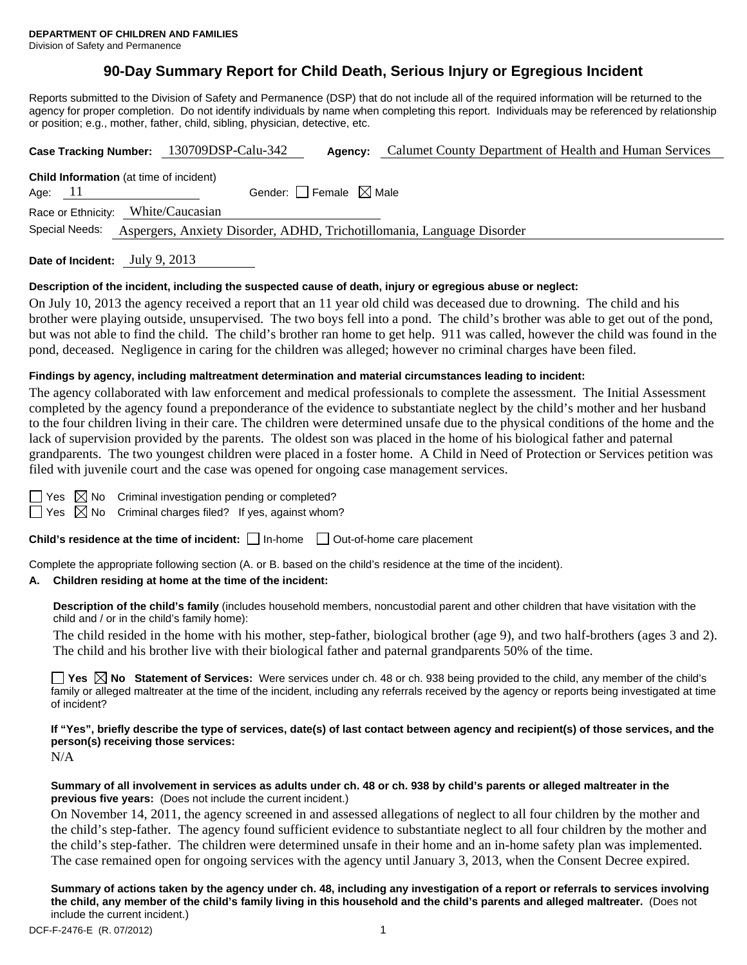# **90-Day Summary Report for Child Death, Serious Injury or Egregious Incident**

Reports submitted to the Division of Safety and Permanence (DSP) that do not include all of the required information will be returned to the agency for proper completion. Do not identify individuals by name when completing this report. Individuals may be referenced by relationship or position; e.g., mother, father, child, sibling, physician, detective, etc.

|                                                                                          | Case Tracking Number: 130709DSP-Calu-342 | Agency:                                | Calumet County Department of Health and Human Services |  |  |  |
|------------------------------------------------------------------------------------------|------------------------------------------|----------------------------------------|--------------------------------------------------------|--|--|--|
| <b>Child Information</b> (at time of incident)<br>Age: 11                                |                                          | Gender: $\Box$ Female $\boxtimes$ Male |                                                        |  |  |  |
| Race or Ethnicity: White/Caucasian                                                       |                                          |                                        |                                                        |  |  |  |
| Special Needs:<br>Aspergers, Anxiety Disorder, ADHD, Trichotillomania, Language Disorder |                                          |                                        |                                                        |  |  |  |
|                                                                                          |                                          |                                        |                                                        |  |  |  |

**Date of Incident:** July 9, 2013

### **Description of the incident, including the suspected cause of death, injury or egregious abuse or neglect:**

On July 10, 2013 the agency received a report that an 11 year old child was deceased due to drowning. The child and his brother were playing outside, unsupervised. The two boys fell into a pond. The child's brother was able to get out of the pond, but was not able to find the child. The child's brother ran home to get help. 911 was called, however the child was found in the pond, deceased. Negligence in caring for the children was alleged; however no criminal charges have been filed.

### **Findings by agency, including maltreatment determination and material circumstances leading to incident:**

The agency collaborated with law enforcement and medical professionals to complete the assessment. The Initial Assessment completed by the agency found a preponderance of the evidence to substantiate neglect by the child's mother and her husband to the four children living in their care. The children were determined unsafe due to the physical conditions of the home and the lack of supervision provided by the parents. The oldest son was placed in the home of his biological father and paternal grandparents. The two youngest children were placed in a foster home. A Child in Need of Protection or Services petition was filed with juvenile court and the case was opened for ongoing case management services.

| M.<br>۰.<br>۰. |
|----------------|
|                |

 $\boxtimes$  No Criminal investigation pending or completed?

 $\Box$  Yes  $\boxtimes$  No Criminal charges filed? If yes, against whom?

**Child's residence at the time of incident:** □ In-home □ Out-of-home care placement

Complete the appropriate following section (A. or B. based on the child's residence at the time of the incident).

#### **A. Children residing at home at the time of the incident:**

**Description of the child's family** (includes household members, noncustodial parent and other children that have visitation with the child and / or in the child's family home):

 The child resided in the home with his mother, step-father, biological brother (age 9), and two half-brothers (ages 3 and 2). The child and his brother live with their biological father and paternal grandparents 50% of the time.

■ Yes **No** Statement of Services: Were services under ch. 48 or ch. 938 being provided to the child, any member of the child's family or alleged maltreater at the time of the incident, including any referrals received by the agency or reports being investigated at time of incident?

**If "Yes", briefly describe the type of services, date(s) of last contact between agency and recipient(s) of those services, and the person(s) receiving those services:** 

N/A

## **Summary of all involvement in services as adults under ch. 48 or ch. 938 by child's parents or alleged maltreater in the previous five years:** (Does not include the current incident.)

On November 14, 2011, the agency screened in and assessed allegations of neglect to all four children by the mother and the child's step-father. The agency found sufficient evidence to substantiate neglect to all four children by the mother and the child's step-father. The children were determined unsafe in their home and an in-home safety plan was implemented. The case remained open for ongoing services with the agency until January 3, 2013, when the Consent Decree expired.

**Summary of actions taken by the agency under ch. 48, including any investigation of a report or referrals to services involving the child, any member of the child's family living in this household and the child's parents and alleged maltreater.** (Does not include the current incident.)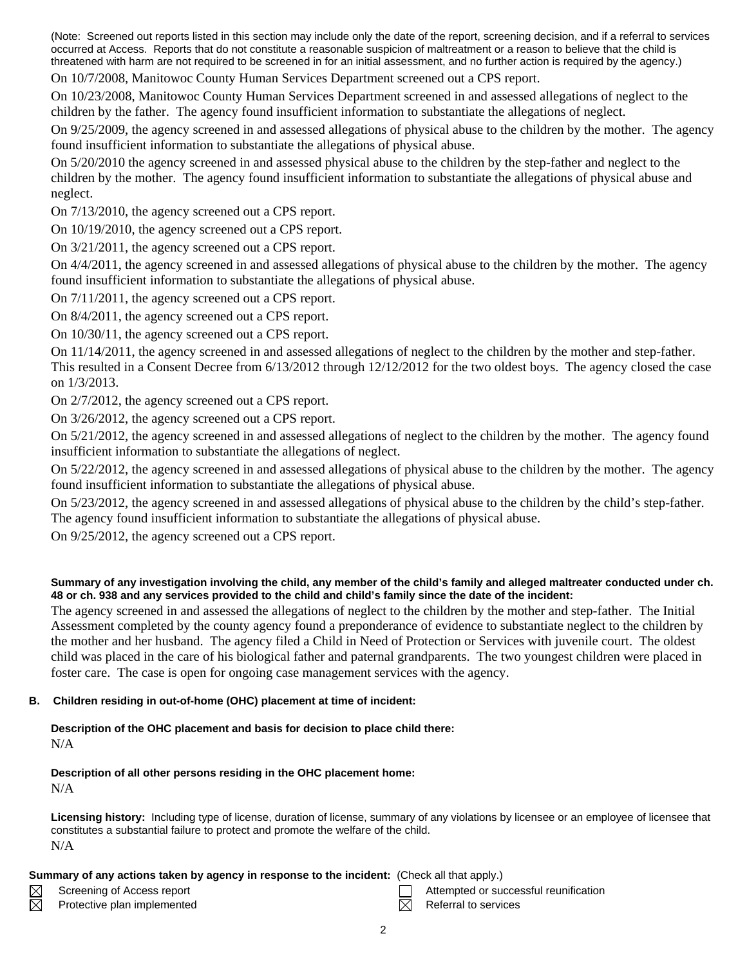(Note: Screened out reports listed in this section may include only the date of the report, screening decision, and if a referral to services occurred at Access. Reports that do not constitute a reasonable suspicion of maltreatment or a reason to believe that the child is threatened with harm are not required to be screened in for an initial assessment, and no further action is required by the agency.)

On 10/7/2008, Manitowoc County Human Services Department screened out a CPS report.

On 10/23/2008, Manitowoc County Human Services Department screened in and assessed allegations of neglect to the children by the father. The agency found insufficient information to substantiate the allegations of neglect.

On 9/25/2009, the agency screened in and assessed allegations of physical abuse to the children by the mother. The agency found insufficient information to substantiate the allegations of physical abuse.

On 5/20/2010 the agency screened in and assessed physical abuse to the children by the step-father and neglect to the children by the mother. The agency found insufficient information to substantiate the allegations of physical abuse and neglect.

On 7/13/2010, the agency screened out a CPS report.

On 10/19/2010, the agency screened out a CPS report.

On 3/21/2011, the agency screened out a CPS report.

On 4/4/2011, the agency screened in and assessed allegations of physical abuse to the children by the mother. The agency found insufficient information to substantiate the allegations of physical abuse.

On 7/11/2011, the agency screened out a CPS report.

On 8/4/2011, the agency screened out a CPS report.

On 10/30/11, the agency screened out a CPS report.

On 11/14/2011, the agency screened in and assessed allegations of neglect to the children by the mother and step-father. This resulted in a Consent Decree from 6/13/2012 through 12/12/2012 for the two oldest boys. The agency closed the case on 1/3/2013.

On 2/7/2012, the agency screened out a CPS report.

On 3/26/2012, the agency screened out a CPS report.

On 5/21/2012, the agency screened in and assessed allegations of neglect to the children by the mother. The agency found insufficient information to substantiate the allegations of neglect.

On 5/22/2012, the agency screened in and assessed allegations of physical abuse to the children by the mother. The agency found insufficient information to substantiate the allegations of physical abuse.

On 5/23/2012, the agency screened in and assessed allegations of physical abuse to the children by the child's step-father. The agency found insufficient information to substantiate the allegations of physical abuse.

On 9/25/2012, the agency screened out a CPS report.

### **Summary of any investigation involving the child, any member of the child's family and alleged maltreater conducted under ch. 48 or ch. 938 and any services provided to the child and child's family since the date of the incident:**

The agency screened in and assessed the allegations of neglect to the children by the mother and step-father. The Initial Assessment completed by the county agency found a preponderance of evidence to substantiate neglect to the children by the mother and her husband. The agency filed a Child in Need of Protection or Services with juvenile court. The oldest child was placed in the care of his biological father and paternal grandparents. The two youngest children were placed in foster care. The case is open for ongoing case management services with the agency.

## **B. Children residing in out-of-home (OHC) placement at time of incident:**

# **Description of the OHC placement and basis for decision to place child there:**

# N/A

# **Description of all other persons residing in the OHC placement home:**

N/A

 $\boxtimes$ 

**Licensing history:** Including type of license, duration of license, summary of any violations by licensee or an employee of licensee that constitutes a substantial failure to protect and promote the welfare of the child. N/A

### **Summary of any actions taken by agency in response to the incident:** (Check all that apply.)

Protective plan implemented  $\boxtimes$  Referral to services

Screening of Access report Attempted or successful reunification